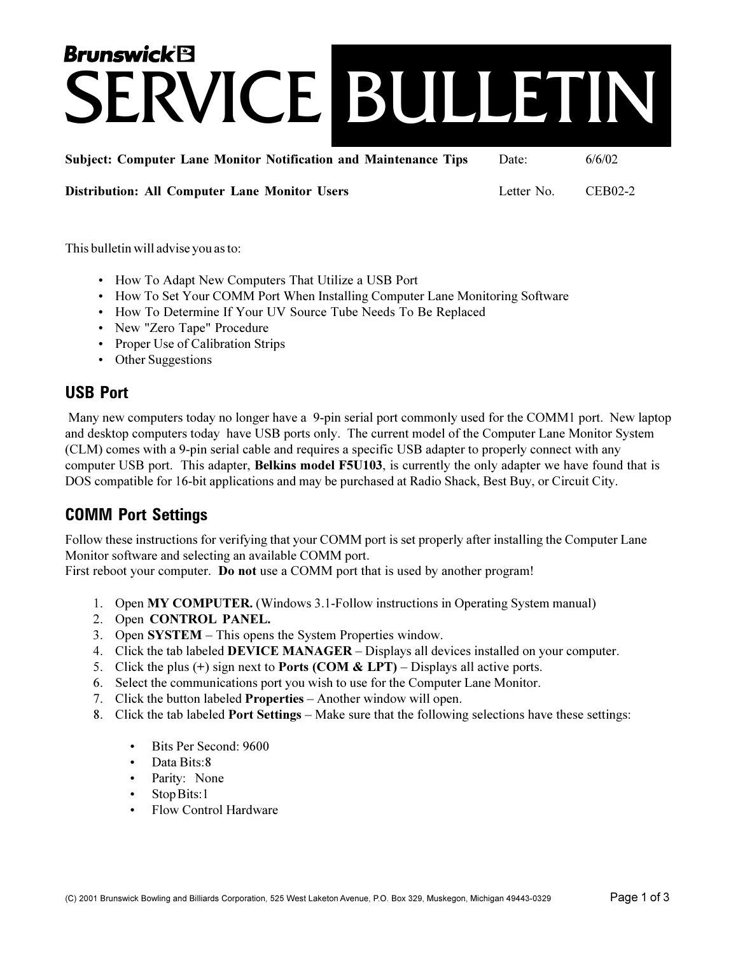# **Brunswick<sup>®</sup>** SERVICE BUILLETIN

**Subject: Computer Lane Monitor Notification and Maintenance Tips** Date:

 $6/6/02$ 

**Distribution: All Computer Lane Monitor Users** 

Letter No. **CEB02-2** 

This bulletin will advise you as to:

- How To Adapt New Computers That Utilize a USB Port
- How To Set Your COMM Port When Installing Computer Lane Monitoring Software
- How To Determine If Your UV Source Tube Needs To Be Replaced
- New "Zero Tape" Procedure
- Proper Use of Calibration Strips
- Other Suggestions

#### **USB Port**

Many new computers today no longer have a 9-pin serial port commonly used for the COMM1 port. New laptop and desktop computers today have USB ports only. The current model of the Computer Lane Monitor System (CLM) comes with a 9-pin serial cable and requires a specific USB adapter to properly connect with any computer USB port. This adapter, Belkins model F5U103, is currently the only adapter we have found that is DOS compatible for 16-bit applications and may be purchased at Radio Shack, Best Buy, or Circuit City.

#### **COMM Port Settings**

Follow these instructions for verifying that your COMM port is set properly after installing the Computer Lane Monitor software and selecting an available COMM port.

First reboot your computer. Do not use a COMM port that is used by another program!

- 1. Open MY COMPUTER. (Windows 3.1-Follow instructions in Operating System manual)
- 2. Open CONTROL PANEL.
- 3. Open SYSTEM This opens the System Properties window.
- 4. Click the tab labeled DEVICE MANAGER Displays all devices installed on your computer.
- 5. Click the plus (+) sign next to Ports (COM & LPT) Displays all active ports.
- 6. Select the communications port you wish to use for the Computer Lane Monitor.
- 7. Click the button labeled **Properties** Another window will open.
- 8. Click the tab labeled **Port Settings** Make sure that the following selections have these settings:
	- Bits Per Second: 9600  $\bullet$
	- Data Bits:8
	- Parity: None
	- Stop Bits:1
	- **Flow Control Hardware**  $\bullet$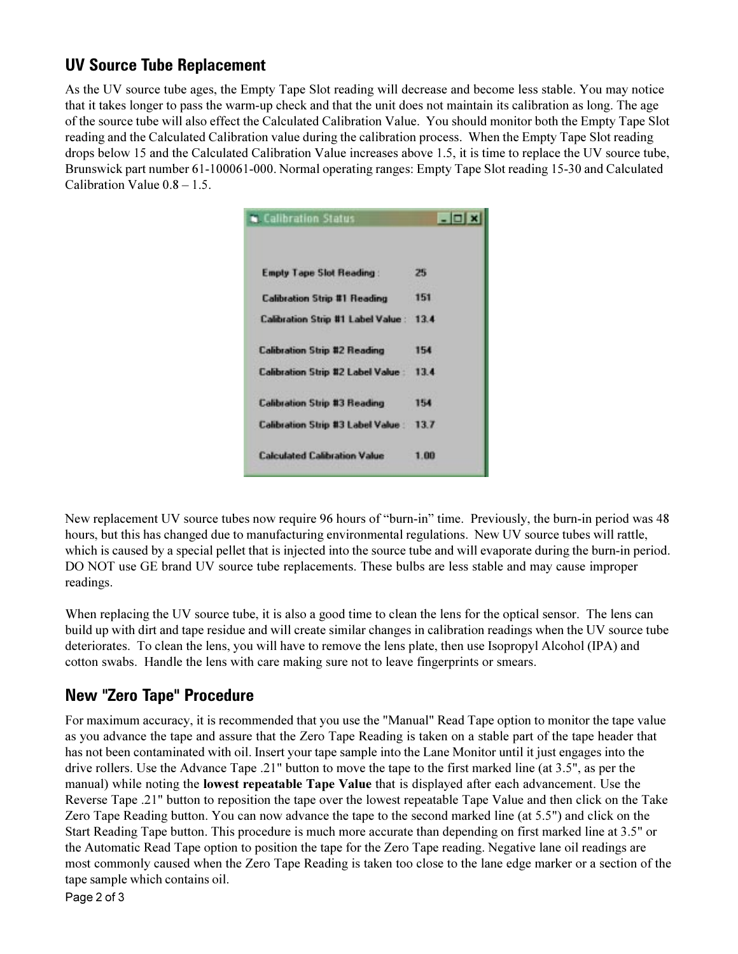## **UV Source Tube Replacement**

As the UV source tube ages, the Empty Tape Slot reading will decrease and become less stable. You may notice that it takes longer to pass the warm-up check and that the unit does not maintain its calibration as long. The age of the source tube will also effect the Calculated Calibration Value. You should monitor both the Empty Tape Slot reading and the Calculated Calibration value during the calibration process. When the Empty Tape Slot reading drops below 15 and the Calculated Calibration Value increases above 1.5, it is time to replace the UV source tube, Brunswick part number 61-100061-000. Normal operating ranges: Empty Tape Slot reading 15-30 and Calculated Calibration Value  $0.8 - 1.5$ .

| Calibration Status                       | $ \Box$ x |
|------------------------------------------|-----------|
|                                          |           |
| <b>Emply Tape Slot Reading:</b>          | 25        |
| <b>Calibration Strip #1 Reading</b>      | 151       |
| Calibration Strip #1 Label Value: 13.4   |           |
| <b>Calibration Strip #2 Reading</b>      | 154       |
| <b>Calibration Strip #2 Label Value:</b> | 134       |
| <b>Calibration Strip #3 Reading</b>      | 154       |
| <b>Calibration Strip #3 Label Value</b>  | 13.7      |
| <b>Calculated Calibration Value</b>      | 1.00      |

New replacement UV source tubes now require 96 hours of "burn-in" time. Previously, the burn-in period was 48 hours, but this has changed due to manufacturing environmental regulations. New UV source tubes will rattle, which is caused by a special pellet that is injected into the source tube and will evaporate during the burn-in period. DO NOT use GE brand UV source tube replacements. These bulbs are less stable and may cause improper readings.

When replacing the UV source tube, it is also a good time to clean the lens for the optical sensor. The lens can build up with dirt and tape residue and will create similar changes in calibration readings when the UV source tube deteriorates. To clean the lens, you will have to remove the lens plate, then use Isopropyl Alcohol (IPA) and cotton swabs. Handle the lens with care making sure not to leave fingerprints or smears.

## **New "Zero Tape" Procedure**

For maximum accuracy, it is recommended that you use the "Manual" Read Tape option to monitor the tape value as you advance the tape and assure that the Zero Tape Reading is taken on a stable part of the tape header that has not been contaminated with oil. Insert your tape sample into the Lane Monitor until it just engages into the drive rollers. Use the Advance Tape .21" button to move the tape to the first marked line (at 3.5", as per the manual) while noting the **lowest repeatable Tape Value** that is displayed after each advancement. Use the Reverse Tape .21" button to reposition the tape over the lowest repeatable Tape Value and then click on the Take Zero Tape Reading button. You can now advance the tape to the second marked line (at 5.5") and click on the Start Reading Tape button. This procedure is much more accurate than depending on first marked line at 3.5" or the Automatic Read Tape option to position the tape for the Zero Tape reading. Negative lane oil readings are most commonly caused when the Zero Tape Reading is taken too close to the lane edge marker or a section of the tape sample which contains oil.

Page 2 of 3